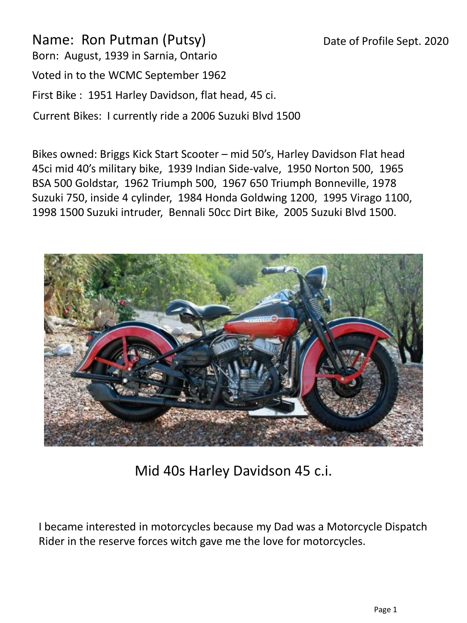## Date of Profile Sept. 2020

Name: Ron Putman (Putsy) Born: August, 1939 in Sarnia, Ontario Voted in to the WCMC September 1962 First Bike : 1951 Harley Davidson, flat head, 45 ci. Current Bikes: I currently ride a 2006 Suzuki Blvd 1500

Bikes owned: Briggs Kick Start Scooter – mid 50's, Harley Davidson Flat head 45ci mid 40's military bike, 1939 Indian Side-valve, 1950 Norton 500, 1965 BSA 500 Goldstar, 1962 Triumph 500, 1967 650 Triumph Bonneville, 1978 Suzuki 750, inside 4 cylinder, 1984 Honda Goldwing 1200, 1995 Virago 1100, 1998 1500 Suzuki intruder, Bennali 50cc Dirt Bike, 2005 Suzuki Blvd 1500.



Mid 40s Harley Davidson 45 c.i.

I became interested in motorcycles because my Dad was a Motorcycle Dispatch Rider in the reserve forces witch gave me the love for motorcycles.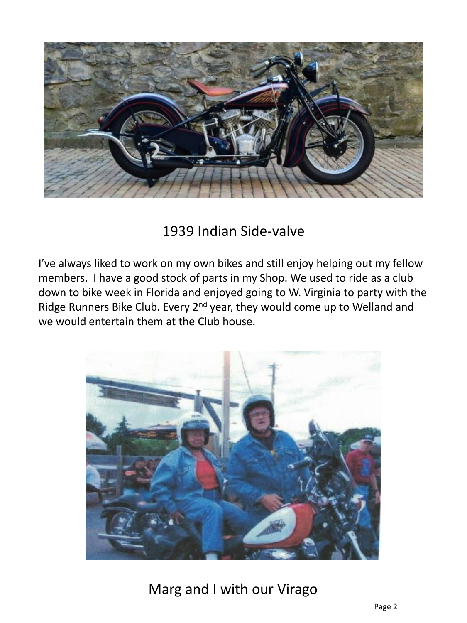

## 1939 Indian Side-valve

I've always liked to work on my own bikes and still enjoy helping out my fellow members. I have a good stock of parts in my Shop. We used to ride as a club down to bike week in Florida and enjoyed going to W. Virginia to party with the Ridge Runners Bike Club. Every 2<sup>nd</sup> year, they would come up to Welland and we would entertain them at the Club house.



Marg and I with our Virago